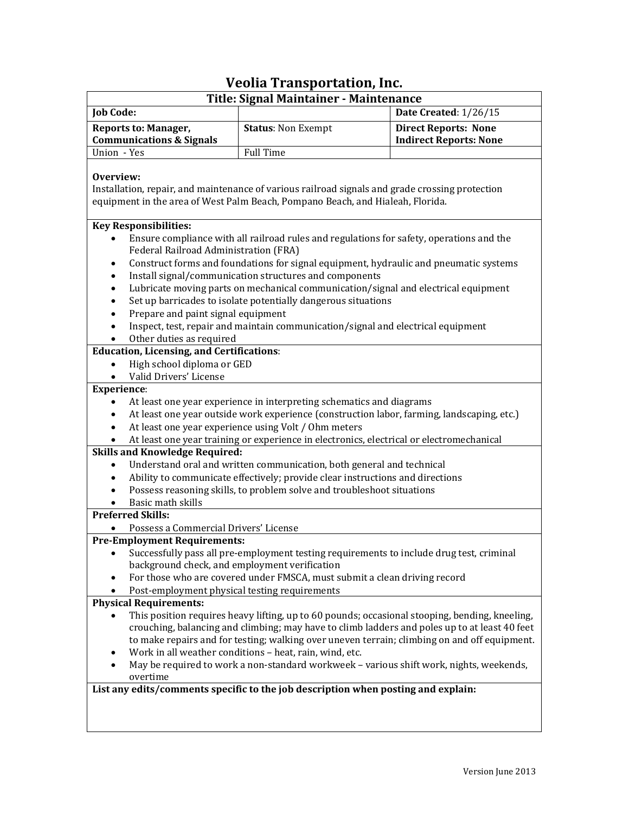## **Veolia Transportation, Inc.**

| Title: Signal Maintainer - Maintenance                                                                                                                                                                                                                                                                                                                                                                                                                                                                                                                                                 |                           |                                                              |
|----------------------------------------------------------------------------------------------------------------------------------------------------------------------------------------------------------------------------------------------------------------------------------------------------------------------------------------------------------------------------------------------------------------------------------------------------------------------------------------------------------------------------------------------------------------------------------------|---------------------------|--------------------------------------------------------------|
| <b>Job Code:</b>                                                                                                                                                                                                                                                                                                                                                                                                                                                                                                                                                                       |                           | Date Created: 1/26/15                                        |
| <b>Reports to: Manager,</b><br><b>Communications &amp; Signals</b>                                                                                                                                                                                                                                                                                                                                                                                                                                                                                                                     | <b>Status: Non Exempt</b> | <b>Direct Reports: None</b><br><b>Indirect Reports: None</b> |
| Union - Yes                                                                                                                                                                                                                                                                                                                                                                                                                                                                                                                                                                            | <b>Full Time</b>          |                                                              |
| Overview:<br>Installation, repair, and maintenance of various railroad signals and grade crossing protection<br>equipment in the area of West Palm Beach, Pompano Beach, and Hialeah, Florida.<br><b>Key Responsibilities:</b><br>Ensure compliance with all railroad rules and regulations for safety, operations and the<br>Federal Railroad Administration (FRA)                                                                                                                                                                                                                    |                           |                                                              |
| Construct forms and foundations for signal equipment, hydraulic and pneumatic systems<br>٠<br>Install signal/communication structures and components<br>٠<br>Lubricate moving parts on mechanical communication/signal and electrical equipment<br>٠<br>Set up barricades to isolate potentially dangerous situations<br>٠<br>Prepare and paint signal equipment<br>٠<br>Inspect, test, repair and maintain communication/signal and electrical equipment<br>$\bullet$<br>Other duties as required<br><b>Education, Licensing, and Certifications:</b>                                 |                           |                                                              |
| High school diploma or GED<br>$\bullet$                                                                                                                                                                                                                                                                                                                                                                                                                                                                                                                                                |                           |                                                              |
| Valid Drivers' License<br>$\bullet$                                                                                                                                                                                                                                                                                                                                                                                                                                                                                                                                                    |                           |                                                              |
| <b>Experience:</b><br>At least one year experience in interpreting schematics and diagrams<br>At least one year outside work experience (construction labor, farming, landscaping, etc.)<br>$\bullet$<br>At least one year experience using Volt / Ohm meters<br>$\bullet$<br>At least one year training or experience in electronics, electrical or electromechanical<br><b>Skills and Knowledge Required:</b><br>Understand oral and written communication, both general and technical<br>Ability to communicate effectively; provide clear instructions and directions<br>$\bullet$ |                           |                                                              |
| Possess reasoning skills, to problem solve and troubleshoot situations<br>$\bullet$                                                                                                                                                                                                                                                                                                                                                                                                                                                                                                    |                           |                                                              |
| Basic math skills                                                                                                                                                                                                                                                                                                                                                                                                                                                                                                                                                                      |                           |                                                              |
| <b>Preferred Skills:</b>                                                                                                                                                                                                                                                                                                                                                                                                                                                                                                                                                               |                           |                                                              |
| Possess a Commercial Drivers' License                                                                                                                                                                                                                                                                                                                                                                                                                                                                                                                                                  |                           |                                                              |
| <b>Pre-Employment Requirements:</b><br>Successfully pass all pre-employment testing requirements to include drug test, criminal<br>background check, and employment verification<br>For those who are covered under FMSCA, must submit a clean driving record<br>$\bullet$<br>Post-employment physical testing requirements                                                                                                                                                                                                                                                            |                           |                                                              |
| <b>Physical Requirements:</b><br>This position requires heavy lifting, up to 60 pounds; occasional stooping, bending, kneeling,<br>crouching, balancing and climbing; may have to climb ladders and poles up to at least 40 feet<br>to make repairs and for testing; walking over uneven terrain; climbing on and off equipment.<br>Work in all weather conditions - heat, rain, wind, etc.<br>٠<br>May be required to work a non-standard workweek - various shift work, nights, weekends,<br>overtime                                                                                |                           |                                                              |
| List any edits/comments specific to the job description when posting and explain:                                                                                                                                                                                                                                                                                                                                                                                                                                                                                                      |                           |                                                              |